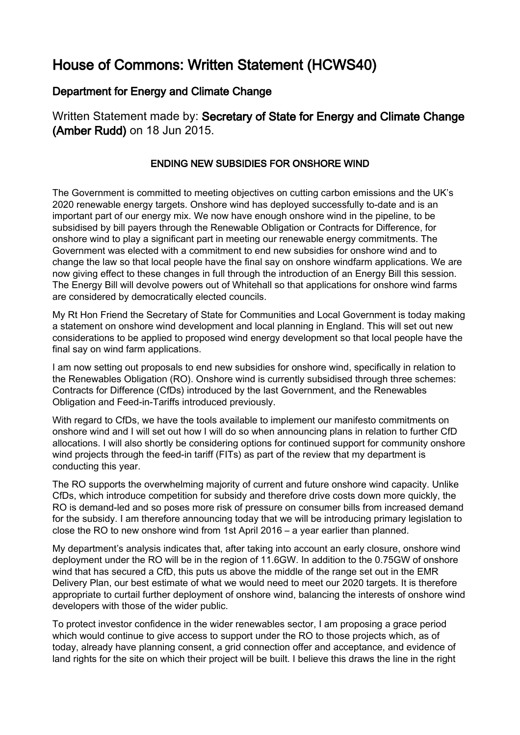## House of Commons: Written Statement (HCWS40)

## Department for Energy and Climate Change

Written Statement made by: Secretary of State for Energy and Climate Change (Amber Rudd) on 18 Jun 2015.

## ENDING NEW SUBSIDIES FOR ONSHORE WIND

The Government is committed to meeting objectives on cutting carbon emissions and the UK's 2020 renewable energy targets. Onshore wind has deployed successfully to-date and is an important part of our energy mix. We now have enough onshore wind in the pipeline, to be subsidised by bill payers through the Renewable Obligation or Contracts for Difference, for onshore wind to play a significant part in meeting our renewable energy commitments. The Government was elected with a commitment to end new subsidies for onshore wind and to change the law so that local people have the final say on onshore windfarm applications. We are now giving effect to these changes in full through the introduction of an Energy Bill this session. The Energy Bill will devolve powers out of Whitehall so that applications for onshore wind farms are considered by democratically elected councils.

My Rt Hon Friend the Secretary of State for Communities and Local Government is today making a statement on onshore wind development and local planning in England. This will set out new considerations to be applied to proposed wind energy development so that local people have the final say on wind farm applications.

I am now setting out proposals to end new subsidies for onshore wind, specifically in relation to the Renewables Obligation (RO). Onshore wind is currently subsidised through three schemes: Contracts for Difference (CfDs) introduced by the last Government, and the Renewables Obligation and Feed-in-Tariffs introduced previously.

With regard to CfDs, we have the tools available to implement our manifesto commitments on onshore wind and I will set out how I will do so when announcing plans in relation to further CfD allocations. I will also shortly be considering options for continued support for community onshore wind projects through the feed-in tariff (FITs) as part of the review that my department is conducting this year.

The RO supports the overwhelming majority of current and future onshore wind capacity. Unlike CfDs, which introduce competition for subsidy and therefore drive costs down more quickly, the RO is demand-led and so poses more risk of pressure on consumer bills from increased demand for the subsidy. I am therefore announcing today that we will be introducing primary legislation to close the RO to new onshore wind from 1st April 2016 – a year earlier than planned.

My department's analysis indicates that, after taking into account an early closure, onshore wind deployment under the RO will be in the region of 11.6GW. In addition to the 0.75GW of onshore wind that has secured a CfD, this puts us above the middle of the range set out in the EMR Delivery Plan, our best estimate of what we would need to meet our 2020 targets. It is therefore appropriate to curtail further deployment of onshore wind, balancing the interests of onshore wind developers with those of the wider public.

To protect investor confidence in the wider renewables sector, I am proposing a grace period which would continue to give access to support under the RO to those projects which, as of today, already have planning consent, a grid connection offer and acceptance, and evidence of land rights for the site on which their project will be built. I believe this draws the line in the right